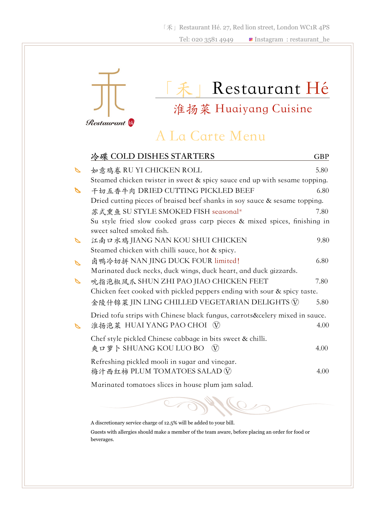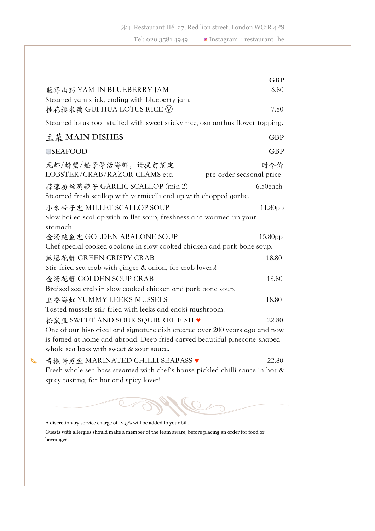|                                                                              | <b>GBP</b>          |
|------------------------------------------------------------------------------|---------------------|
| 蓝莓山药 YAM IN BLUEBERRY JAM                                                    | 6.80                |
| Steamed yam stick, ending with blueberry jam.                                |                     |
| 桂花糯米藕 GUI HUA LOTUS RICE ①                                                   | 7.80                |
| Steamed lotus root stuffed with sweet sticky rice, osmanthus flower topping. |                     |
| 主菜 MAIN DISHES                                                               | <b>GBP</b>          |
| <b>SEAFOOD</b>                                                               | <b>GBP</b>          |
| 龙虾/螃蟹/蛏子等活海鲜,请提前预定                                                           | 时令价                 |
| LOBSTER/CRAB/RAZOR CLAMS etc.<br>pre-order seasonal price                    |                     |
| 蒜蓉粉丝蒸带子 GARLIC SCALLOP (min 2)                                               | 6.50each            |
| Steamed fresh scallop with vermicelli end up with chopped garlic.            |                     |
| 小米带子盅 MILLET SCALLOP SOUP                                                    | 11.80 <sub>pp</sub> |
| Slow boiled scallop with millet soup, freshness and warmed-up your           |                     |
| stomach.<br>金汤鲍鱼盅 GOLDEN ABALONE SOUP                                        |                     |
| Chef special cooked abalone in slow cooked chicken and pork bone soup.       | 15.80pp             |
| 葱爆花蟹 GREEN CRISPY CRAB                                                       | 18.80               |
| Stir-fried sea crab with ginger & onion, for crab lovers!                    |                     |
| 金汤花蟹 GOLDEN SOUP CRAB                                                        | 18.80               |
| Braised sea crab in slow cooked chicken and pork bone soup.                  |                     |
| 韭香海虹 YUMMY LEEKS MUSSELS                                                     | 18.80               |
| Tasted mussels stir-fried with leeks and enoki mushroom.                     |                     |
| 松鼠鱼 SWEET AND SOUR SQUIRREL FISH ♥                                           | 22.80               |
| One of our historical and signature dish created over 200 years ago and now  |                     |
| is famed at home and abroad. Deep fried carved beautiful pinecone-shaped     |                     |
| whole sea bass with sweet & sour sauce.                                      |                     |
| 青椒酱蒸鱼 MARINATED CHILLI SEABASS ♥                                             | 22.80               |
| $1 \t 1 \t 1 \t 1 \t 1 \t 1 \t 1 \t 1$                                       |                     |

Fresh whole sea bass steamed with chef's house pickled chilli sauce in hot & spicy tasting, for hot and spicy lover!

## Diffe  $\mathbb{C}$

A discretionary service charge of 12.5% will be added to your bill.

 $\gamma$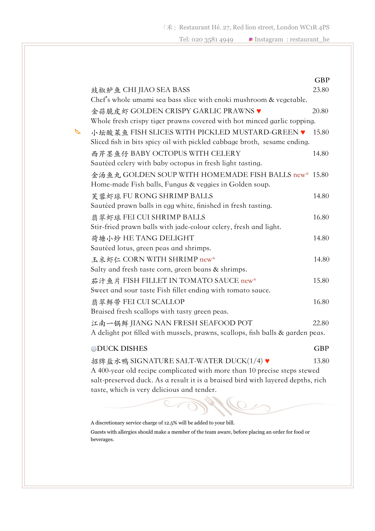|                                                                                                                            | <b>GBP</b> |
|----------------------------------------------------------------------------------------------------------------------------|------------|
| 豉椒鲈鱼 CHI JIAO SEA BASS                                                                                                     | 23.80      |
| Chef's whole umami sea bass slice with enoki mushroom & vegetable.                                                         |            |
| 金蒜脆皮虾 GOLDEN CRISPY GARLIC PRAWNS ♥                                                                                        | 20.80      |
| Whole fresh crispy tiger prawns covered with hot minced garlic topping.                                                    |            |
| 小坛酸菜鱼 FISH SLICES WITH PICKLED MUSTARD-GREEN ♥<br>Sliced fish in bits spicy oil with pickled cabbage broth, sesame ending. | 15.80      |
| 西芹墨鱼仔 BABY OCTOPUS WITH CELERY<br>Sautéed celery with baby octopus in fresh light tasting.                                 | 14.80      |
| 金汤鱼丸 GOLDEN SOUP WITH HOMEMADE FISH BALLS new* 15.80<br>Home-made Fish balls, Fungus & veggies in Golden soup.             |            |
| 芙蓉虾球 FU RONG SHRIMP BALLS                                                                                                  | 14.80      |
| Sautéed prawn balls in egg white, finished in fresh tasting.                                                               |            |
| 翡翠虾球 FEI CUI SHRIMP BALLS                                                                                                  | 16.80      |
| Stir-fried prawn balls with jade-colour celery, fresh and light.                                                           |            |
| 荷塘小炒 HE TANG DELIGHT                                                                                                       | 14.80      |
| Sautéed lotus, green peas and shrimps.                                                                                     |            |
| 玉米虾仁 CORN WITH SHRIMP new*                                                                                                 | 14.80      |
| Salty and fresh taste corn, green beans & shrimps.                                                                         |            |
| 茄汁鱼片 FISH FILLET IN TOMATO SAUCE new*                                                                                      | 15.80      |
| Sweet and sour taste Fish fillet ending with tomato sauce.                                                                 |            |
| 翡翠鲜带 FEI CUI SCALLOP                                                                                                       | 16.80      |
| Braised fresh scallops with tasty green peas.                                                                              |            |
| 江南一锅鲜 JIANG NAN FRESH SEAFOOD POT                                                                                          | 22.80      |
| A delight pot filled with mussels, prawns, scallops, fish balls & garden peas.                                             |            |
| <b>ODUCK DISHES</b>                                                                                                        | <b>GBP</b> |
| 招牌盐水鸭 SIGNATURE SALT-WATER DUCK(1/4) ♥                                                                                     | 13.80      |
| A 400-year old recipe complicated with more than 10 precise steps stewed                                                   |            |
| salt-preserved duck. As a result it is a braised bird with layered depths, rich                                            |            |
| taste, which is very delicious and tender.                                                                                 |            |
|                                                                                                                            |            |
|                                                                                                                            |            |

A discretionary service charge of 12.5% will be added to your bill.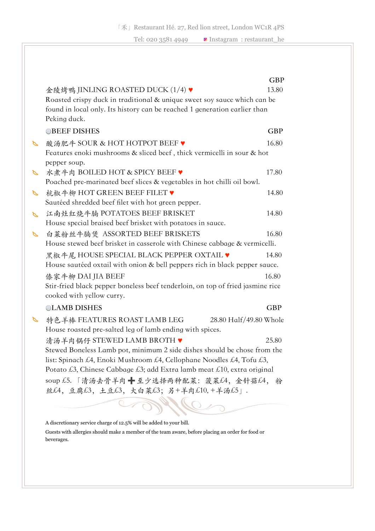|          |                                                                                                                    | GBP        |
|----------|--------------------------------------------------------------------------------------------------------------------|------------|
|          | 金陵烤鸭 JINLING ROASTED DUCK (1/4) ♥                                                                                  | 13.80      |
|          | Roasted crispy duck in traditional & unique sweet soy sauce which can be                                           |            |
|          | found in local only. Its history can be reached 1 generation earlier than                                          |            |
|          | Peking duck.                                                                                                       |            |
|          | <b>BEEF DISHES</b>                                                                                                 | <b>GBP</b> |
| ⇖        | 酸汤肥牛 SOUR & HOT HOTPOT BEEF ♥                                                                                      | 16.80      |
|          | Features enoki mushrooms & sliced beef, thick vermicelli in sour & hot<br>pepper soup.                             |            |
| $\sigma$ | 水煮牛肉 BOILED HOT & SPICY BEEF ♥                                                                                     | 17.80      |
|          | Poached pre-marinated beef slices & vegetables in hot chilli oil bowl.                                             |            |
| P        | 杭椒牛柳 HOT GREEN BEEF FILET ♥                                                                                        | 14.80      |
|          | Sautéed shredded beef filet with hot green pepper.                                                                 |            |
| P        | 江南灶红烧牛腩 POTATOES BEEF BRISKET                                                                                      | 14.80      |
|          | House special braised beef brisket with potatoes in sauce.                                                         |            |
| P        | 白菜粉丝牛腩煲 ASSORTED BEEF BRISKETS                                                                                     | 16.80      |
|          | House stewed beef brisket in casserole with Chinese cabbage & vermicelli.                                          |            |
|          | 黑椒牛尾 HOUSE SPECIAL BLACK PEPPER OXTAIL ♥                                                                           | 14.80      |
|          | House sautéed oxtail with onion & bell peppers rich in black pepper sauce.                                         |            |
|          | 傣家牛柳 DAI JIA BEEF                                                                                                  | 16.80      |
|          | Stir-fried black pepper boneless beef tenderloin, on top of fried jasmine rice<br>cooked with yellow curry.        |            |
|          | <b>OLAMB DISHES</b>                                                                                                | <b>GBP</b> |
|          | 特色羊棒 FEATURES ROAST LAMB LEG<br>28.80 Half/49.80 Whole<br>House roasted pre-salted leg of lamb ending with spices. |            |
|          |                                                                                                                    | 25.80      |
|          | 清汤羊肉锅仔 STEWED LAMB BROTH ♥<br>Stewed Boneless Lamb pot, minimum 2 side dishes should be chose from the             |            |
|          | list: Spinach £4, Enoki Mushroom £4, Cellophane Noodles £4, Tofu £3,                                               |            |
|          | Potato £3, Chinese Cabbage £3; add Extra lamb meat £10, extra original                                             |            |
|          | soup £5. 「清汤去骨羊肉 + 至少选择两种配菜: 菠菜£4, 金针菇£4, 粉                                                                        |            |
|          | 丝£4, 豆腐£3, 土豆£3, 大白菜£3; 另+羊肉£10,+羊汤£5」.                                                                            |            |
|          |                                                                                                                    |            |
|          |                                                                                                                    |            |

A discretionary service charge of 12.5% will be added to your bill.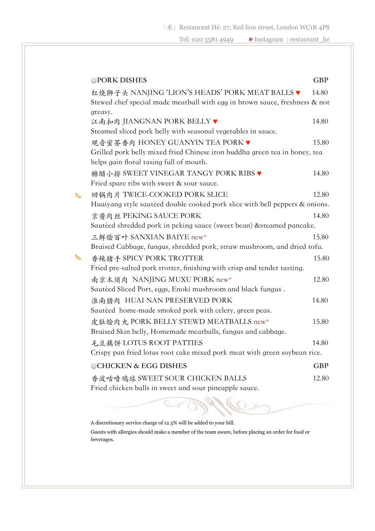「禾」Restaurant Hé. 27, Red lion street, London WC1R 4PS

Tel: 020 3581 4949 **■** Instagram : restaurant\_he

|   | <b>OPORK DISHES</b>                                                                                                          | <b>GBP</b> |
|---|------------------------------------------------------------------------------------------------------------------------------|------------|
|   | 红烧狮子头 NANJING 'LION'S HEADS' PORK MEAT BALLS ♥<br>Stewed chef special made meatball with egg in brown sauce, freshness & not | 14.80      |
|   | greasy.<br>江南扣肉 JIANGNAN PORK BELLY ♥<br>Steamed sliced pork belly with seasonal vegetables in sauce.                        | 14.80      |
|   | 观音蜜茶香肉 HONEY GUANYIN TEA PORK ♥<br>Grilled pork belly mixed fried Chinese iron buddha green tea in honey, tea                | 15.80      |
|   | helps gain floral tasing full of mouth.<br>糖醋小排 SWEET VINEGAR TANGY PORK RIBS ♥<br>Fried spare ribs with sweet & sour sauce. | 14.80      |
| R | 回锅肉片 TWICE-COOKED PORK SLICE<br>Huaiyang style sautéed double cooked pork slice with bell peppers & onions.                  | 12.80      |
|   | 京酱肉丝 PEKING SAUCE PORK<br>Sautéed shredded pork in peking sauce (sweet bean) & steamed pancake.                              | 14.80      |
|   | 三鲜烩百叶 SANXIAN BAIYE new*<br>Braised Cabbage, fungus, shredded pork, straw mushroom, and dried tofu.                          | 15.80      |
| € | 香辣猪手 SPICY PORK TROTTER<br>Fried pre-salted pork trotter, finishing with crisp and tender tasting.                           | 15.80      |
|   | 南京木须肉 NANJING MUXU PORK new*<br>Sautéed Sliced Port, eggs, Enoki mushroom and black fungus.                                  | 12.80      |
|   | 淮南腊肉 HUAI NAN PRESERVED PORK<br>Sautéed home-made smoked pork with celery, green peas.                                       | 14.80      |
|   | 皮肚烩肉丸 PORK BELLY STEWD MEATBALLS new*<br>Braised Skin belly, Homemade meatballs, fungus and cabbage.                         | 15.80      |
|   | 毛豆藕饼 LOTUS ROOT PATTIES<br>Crispy pan fried lotus root cake mixed pork meat with green soybean rice.                         | 14.80      |
|   | <b>OCHICKEN &amp; EGG DISHES</b>                                                                                             | <b>GBP</b> |
|   | 香波咕噜鸡球 SWEET SOUR CHICKEN BALLS<br>Fried chicken balls in sweet and sour pineapple sauce.                                    | 12.80      |

A discretionary service charge of 12.5% will be added to your bill.

 $\overline{C}$ 

Guests with allergies should make a member of the team aware, before placing an order for food or beverages.

₹

 $\overline{\epsilon}$ 

 $\Omega$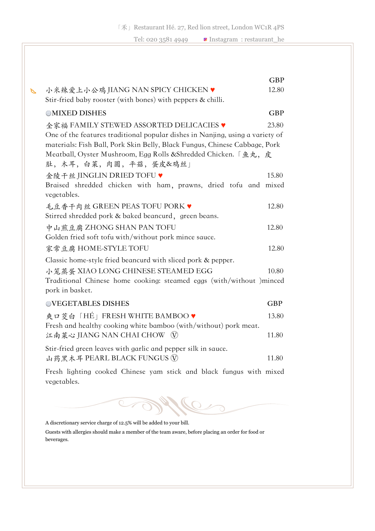|   |                                                                                                                                                             | <b>GBP</b> |
|---|-------------------------------------------------------------------------------------------------------------------------------------------------------------|------------|
| B | 小米辣爱上小公鸡 JIANG NAN SPICY CHICKEN ♥                                                                                                                          | 12.80      |
|   | Stir-fried baby rooster (with bones) with peppers & chilli.                                                                                                 |            |
|   | <b>OMIXED DISHES</b>                                                                                                                                        | <b>GBP</b> |
|   | 全家福 FAMILY STEWED ASSORTED DELICACIES ♥                                                                                                                     | 23.80      |
|   | One of the features traditional popular dishes in Nanjing, using a variety of<br>materials: Fish Ball, Pork Skin Belly, Black Fungus, Chinese Cabbage, Pork |            |
|   | Meatball, Oyster Mushroom, Egg Rolls & Shredded Chicken. 「鱼丸, 皮<br>肚,木耳,白菜,肉圆,平菇,蛋皮&鸡丝」                                                                     |            |
|   | 金陵千丝 JINGLIN DRIED TOFU ♥                                                                                                                                   | 15.80      |
|   | Braised shredded chicken with ham, prawns, dried tofu and mixed<br>vegetables.                                                                              |            |
|   | 毛豆香干肉丝 GREEN PEAS TOFU PORK ♥                                                                                                                               | 12.80      |
|   | Stirred shredded pork & baked beancurd, green beans.                                                                                                        |            |
|   | 中山煎豆腐 ZHONG SHAN PAN TOFU                                                                                                                                   | 12.80      |
|   | Golden fried soft tofu with/without pork mince sauce.                                                                                                       |            |
|   | 家常豆腐 HOME-STYLE TOFU                                                                                                                                        | 12.80      |
|   | Classic home-style fried beancurd with sliced pork & pepper.                                                                                                |            |
|   | 小笼蒸蛋 XIAO LONG CHINESE STEAMED EGG                                                                                                                          | 10.80      |
|   | Traditional Chinese home cooking: steamed eggs (with/without )minced<br>pork in basket.                                                                     |            |
|   | <b>OVEGETABLES DISHES</b>                                                                                                                                   | <b>GBP</b> |
|   | 爽口芰白「HÉ」FRESH WHITE BAMBOO♥                                                                                                                                 | 13.80      |
|   | Fresh and healthy cooking white bamboo (with/without) pork meat.<br>江南菜心 JIANG NAN CHAI CHOW 1                                                              | 11.80      |
|   | Stir-fried green leaves with garlic and pepper silk in sauce.<br>山药黑木耳 PEARL BLACK FUNGUS V                                                                 | 11.80      |
|   | Fresh lighting cooked Chinese yam stick and black fungus with mixed<br>vegetables.                                                                          |            |

 $\overline{\mathcal{O}}$  $\overline{C}$ 

A discretionary service charge of 12.5% will be added to your bill.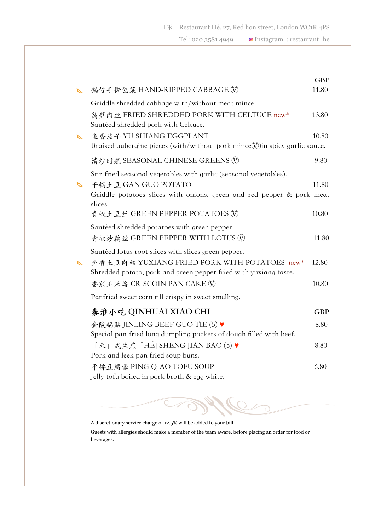|   |                                                                                          | <b>GBP</b> |
|---|------------------------------------------------------------------------------------------|------------|
|   | 锅仔手撕包菜 HAND-RIPPED CABBAGE ①                                                             | 11.80      |
|   | Griddle shredded cabbage with/without meat mince.                                        |            |
|   | 莴笋肉丝 FRIED SHREDDED PORK WITH CELTUCE new*<br>Sautéed shredded pork with Celtuce.        | 13.80      |
|   | 鱼香茄子 YU-SHIANG EGGPLANT                                                                  | 10.80      |
|   | Braised aubergine pieces (with/without pork mince $(\widehat{V})$ in spicy garlic sauce. |            |
|   | 清炒时蔬 SEASONAL CHINESE GREENS (V)                                                         | 9.80       |
|   | Stir-fried seasonal vegetables with garlic (seasonal vegetables).                        |            |
|   | 千锅土豆 GAN GUO POTATO                                                                      | 11.80      |
|   | Griddle potatoes slices with onions, green and red pepper & pork meat<br>slices.         |            |
|   | 青椒土豆丝 GREEN PEPPER POTATOES (V)                                                          | 10.80      |
|   | Sautéed shredded potatoes with green pepper.                                             |            |
|   | 青椒炒藕丝 GREEN PEPPER WITH LOTUS (V)                                                        | 11.80      |
|   | Sautéed lotus root slices with slices green pepper.                                      |            |
| ↖ | 鱼香土豆肉丝 YUXIANG FRIED PORK WITH POTATOES new*                                             | 12.80      |
|   | Shredded potato, pork and green pepper fried with yuxiang taste.                         |            |
|   | 香煎玉米烙 CRISCOIN PAN CAKE (V)                                                              | 10.80      |
|   | Panfried sweet corn till crispy in sweet smelling.                                       |            |
|   | 秦淮小吃 QINHUAI XIAO CHI                                                                    | <b>GBP</b> |
|   | 金陵锅贴 IINLING BEEF GUO TIE (5) ♥                                                          | 8.80       |
|   | Special pan-fried long dumpling pockets of dough filled with beef.                       |            |
|   | 「禾」式生煎「HÉ] SHENG JIAN BAO (5) ♥                                                          | 8.80       |
|   | Pork and leek pan fried soup buns.                                                       |            |
|   | 平桥豆腐羹 PING QIAO TOFU SOUP                                                                | 6.80       |
|   | Jelly tofu boiled in pork broth & egg white.                                             |            |
|   |                                                                                          |            |

A discretionary service charge of 12.5% will be added to your bill.

 $\overline{C}$ 

Guests with allergies should make a member of the team aware, before placing an order for food or beverages.

 $\overline{\epsilon}$ 

 $\Omega$